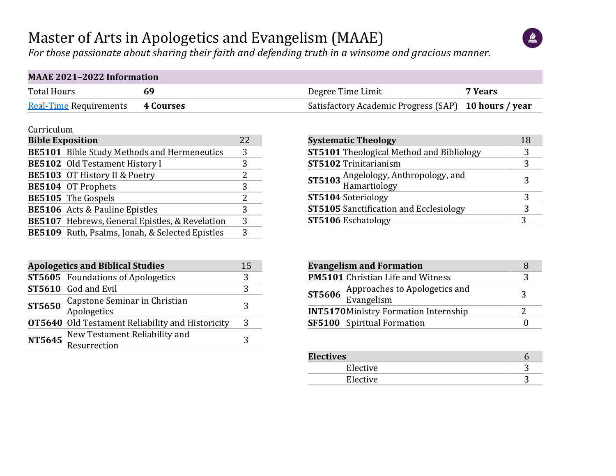## Master of Arts in Apologetics and Evangelism (MAAE)



*For those passionate about sharing their faith and defending truth in a winsome and gracious manner.*

| <b>MAAE 2021-2022 Information</b>       |  |                                                      |         |  |  |  |  |  |  |  |
|-----------------------------------------|--|------------------------------------------------------|---------|--|--|--|--|--|--|--|
| <b>Total Hours</b>                      |  | Degree Time Limit                                    | 7 Years |  |  |  |  |  |  |  |
| <b>Real-Time Requirements 4 Courses</b> |  | Satisfactory Academic Progress (SAP) 10 hours / year |         |  |  |  |  |  |  |  |

#### Curriculum

| <b>Bible Exposition</b> |                                                    | 22 |
|-------------------------|----------------------------------------------------|----|
|                         | <b>BE5101</b> Bible Study Methods and Hermeneutics | 3  |
|                         | <b>BE5102</b> Old Testament History I              | 3  |
|                         | BE5103 OT History II & Poetry                      | 2  |
|                         | BE5104 OT Prophets                                 | 3  |
|                         | BE5105 The Gospels                                 | 2. |
|                         | <b>BE5106</b> Acts & Pauline Epistles              | 3  |
|                         | BE5107 Hebrews, General Epistles, & Revelation     | 3  |
|                         | BE5109 Ruth, Psalms, Jonah, & Selected Epistles    | 3  |

|               | <b>Apologetics and Biblical Studies</b>                 |   |  |  |  |  |  |  |  |  |
|---------------|---------------------------------------------------------|---|--|--|--|--|--|--|--|--|
|               | <b>ST5605</b> Foundations of Apologetics                | 3 |  |  |  |  |  |  |  |  |
|               | <b>ST5610</b> God and Evil                              | 3 |  |  |  |  |  |  |  |  |
| ST5650        | Capstone Seminar in Christian<br>Apologetics            | 3 |  |  |  |  |  |  |  |  |
|               | <b>OT5640</b> Old Testament Reliability and Historicity | 3 |  |  |  |  |  |  |  |  |
| <b>NT5645</b> | New Testament Reliability and<br>Resurrection           | 3 |  |  |  |  |  |  |  |  |

| <b>Systematic Theology</b>                           | 18 |
|------------------------------------------------------|----|
| <b>ST5101</b> Theological Method and Bibliology      | 3  |
| <b>ST5102</b> Trinitarianism                         | 3  |
| ST5103 Angelology, Anthropology, and<br>Hamartiology | 3  |
| <b>ST5104 Soteriology</b>                            |    |
| <b>ST5105</b> Sanctification and Ecclesiology        |    |
| <b>ST5106</b> Eschatology                            |    |

| <b>Evangelism and Formation</b> |                                                           |   |  |  |  |  |  |
|---------------------------------|-----------------------------------------------------------|---|--|--|--|--|--|
|                                 | <b>PM5101</b> Christian Life and Witness                  |   |  |  |  |  |  |
|                                 | <b>ST5606</b> Approaches to Apologetics and<br>Evangelism | 3 |  |  |  |  |  |
|                                 | <b>INT5170 Ministry Formation Internship</b>              |   |  |  |  |  |  |
|                                 | <b>SF5100</b> Spiritual Formation                         |   |  |  |  |  |  |

| <b>Electives</b> |  |
|------------------|--|
| Elective         |  |
| Elective         |  |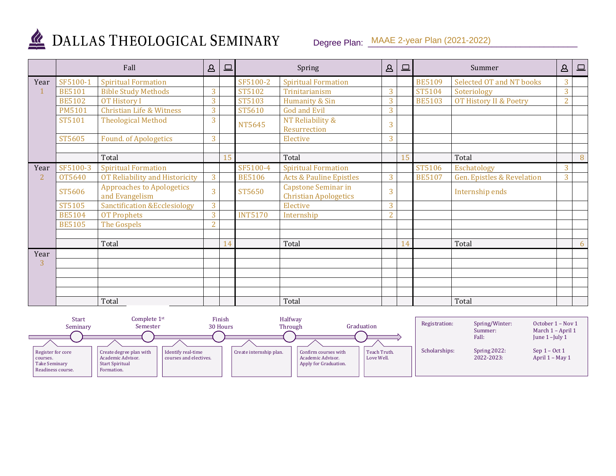

# DALLAS THEOLOGICAL SEMINARY

### Degree Plan: MAAE 2-year Plan (2021-2022)

|                |               | Fall                                               | $\Delta$       | $\Box$ |                | Spring                                              | $\Delta$       | $\boxed{\square}$ |               | Summer                                | $\Delta$       | $\boxed{\square}$ |
|----------------|---------------|----------------------------------------------------|----------------|--------|----------------|-----------------------------------------------------|----------------|-------------------|---------------|---------------------------------------|----------------|-------------------|
| Year           | SF5100-1      | <b>Spiritual Formation</b>                         |                |        | SF5100-2       | <b>Spiritual Formation</b>                          |                |                   | <b>BE5109</b> | Selected OT and NT books              | 3              |                   |
|                | <b>BE5101</b> | <b>Bible Study Methods</b>                         | 3              |        | ST5102         | Trinitarianism                                      | 3              |                   | ST5104        | Soteriology                           | 3              |                   |
|                | <b>BE5102</b> | <b>OT History I</b>                                | 3              |        | ST5103         | Humanity & Sin                                      | 3              |                   | <b>BE5103</b> | OT History II & Poetry                | $\overline{2}$ |                   |
|                | <b>PM5101</b> | <b>Christian Life &amp; Witness</b>                | 3              |        | ST5610         | <b>God and Evil</b>                                 | $\overline{3}$ |                   |               |                                       |                |                   |
|                | ST5101        | <b>Theological Method</b>                          | 3              |        | NT5645         | NT Reliability &<br>Resurrection                    | 3              |                   |               |                                       |                |                   |
|                | ST5605        | <b>Found. of Apologetics</b>                       | 3              |        |                | Elective                                            | 3              |                   |               |                                       |                |                   |
|                |               |                                                    |                |        |                |                                                     |                |                   |               |                                       |                |                   |
|                |               | Total                                              |                | 15     |                | Total                                               |                | 15                |               | Total                                 |                | 8                 |
| Year           | SF5100-3      | <b>Spiritual Formation</b>                         |                |        | SF5100-4       | <b>Spiritual Formation</b>                          |                |                   | ST5106        | Eschatology                           | 3              |                   |
| $\overline{2}$ | OT5640        | OT Reliability and Historicity                     | 3              |        | <b>BE5106</b>  | <b>Acts &amp; Pauline Epistles</b>                  | $\overline{3}$ |                   | <b>BE5107</b> | <b>Gen. Epistles &amp; Revelation</b> | 3              |                   |
|                | ST5606        | <b>Approaches to Apologetics</b><br>and Evangelism | 3              |        | ST5650         | Capstone Seminar in<br><b>Christian Apologetics</b> | 3              |                   |               | Internship ends                       |                |                   |
|                | ST5105        | <b>Sanctification &amp;Ecclesiology</b>            | 3              |        |                | Elective                                            | 3              |                   |               |                                       |                |                   |
|                | <b>BE5104</b> | <b>OT Prophets</b>                                 | 3              |        | <b>INT5170</b> | Internship                                          | $\overline{2}$ |                   |               |                                       |                |                   |
|                | <b>BE5105</b> | The Gospels                                        | $\overline{2}$ |        |                |                                                     |                |                   |               |                                       |                |                   |
|                |               |                                                    |                |        |                |                                                     |                |                   |               |                                       |                |                   |
|                |               | Total                                              |                | 14     |                | Total                                               |                | 14                |               | Total                                 |                | 6                 |
| Year           |               |                                                    |                |        |                |                                                     |                |                   |               |                                       |                |                   |
| 3              |               |                                                    |                |        |                |                                                     |                |                   |               |                                       |                |                   |
|                |               |                                                    |                |        |                |                                                     |                |                   |               |                                       |                |                   |
|                |               |                                                    |                |        |                |                                                     |                |                   |               |                                       |                |                   |
|                |               |                                                    |                |        |                |                                                     |                |                   |               |                                       |                |                   |
|                |               | Total                                              |                |        |                | Total                                               |                |                   |               | Total                                 |                |                   |

| <b>Start</b><br>Seminary                                            | Complete $1st$<br>Semester                                                           | Finish<br>30 Hours                           | Halfway<br>Through      |                                                                    | Graduation                 | Registration: | Spring/Winter:<br>Summer:  | October 1 – Nov 1<br>March 1 – April 1 |
|---------------------------------------------------------------------|--------------------------------------------------------------------------------------|----------------------------------------------|-------------------------|--------------------------------------------------------------------|----------------------------|---------------|----------------------------|----------------------------------------|
|                                                                     |                                                                                      |                                              |                         |                                                                    |                            |               | Fall:                      | June $1$ –July $1$                     |
| Register for core<br>courses.<br>Take Seminary<br>Readiness course. | Create degree plan with<br>Academic Advisor.<br><b>Start Spiritual</b><br>Formation. | Identify real-time<br>courses and electives. | Create internship plan. | Confirm courses with<br>Academic Advisor.<br>Apply for Graduation. | Teach Truth.<br>Love Well. | Scholarships: | Spring 2022:<br>2022-2023: | Sep $1 - Oct 1$<br>April 1 – May 1     |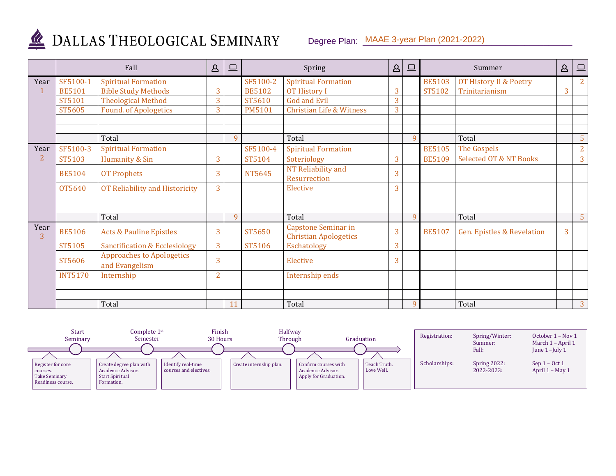

## DALLAS THEOLOGICAL SEMINARY

#### Degree Plan: MAAE 3-year Plan (2021-2022)

|                | Fall           |                                                    | $\Delta$       | $\qquad \qquad \Box$ |               | Spring                                              | $\Delta$ | $\Box$ |               | Summer                            | $\Delta$ | $\Box$         |
|----------------|----------------|----------------------------------------------------|----------------|----------------------|---------------|-----------------------------------------------------|----------|--------|---------------|-----------------------------------|----------|----------------|
| Year           | SF5100-1       | <b>Spiritual Formation</b>                         |                |                      | SF5100-2      | <b>Spiritual Formation</b>                          |          |        | <b>BE5103</b> | OT History II & Poetry            |          | $2^{\circ}$    |
|                | <b>BE5101</b>  | <b>Bible Study Methods</b>                         | 3              |                      | <b>BE5102</b> | <b>OT History I</b>                                 | 3        |        | ST5102        | Trinitarianism                    | 3        |                |
|                | ST5101         | <b>Theological Method</b>                          | 3              |                      | ST5610        | <b>God and Evil</b>                                 | 3        |        |               |                                   |          |                |
|                | ST5605         | <b>Found. of Apologetics</b>                       | 3              |                      | <b>PM5101</b> | <b>Christian Life &amp; Witness</b>                 | 3        |        |               |                                   |          |                |
|                |                |                                                    |                |                      |               |                                                     |          |        |               |                                   |          |                |
|                |                |                                                    |                |                      |               |                                                     |          |        |               |                                   |          |                |
|                |                | Total                                              |                | 9                    |               | Total                                               |          | 9      |               | Total                             |          | 5              |
| Year           | SF5100-3       | <b>Spiritual Formation</b>                         |                |                      | SF5100-4      | <b>Spiritual Formation</b>                          |          |        | <b>BE5105</b> | The Gospels                       |          | $\overline{2}$ |
| $\overline{2}$ | ST5103         | Humanity & Sin                                     | 3              |                      | ST5104        | Soteriology                                         | 3        |        | <b>BE5109</b> | <b>Selected OT &amp; NT Books</b> |          | 3              |
|                | <b>BE5104</b>  | <b>OT Prophets</b>                                 | 3              |                      | NT5645        | NT Reliability and<br>Resurrection                  | 3        |        |               |                                   |          |                |
|                | 0T5640         | OT Reliability and Historicity                     | 3              |                      |               | Elective                                            | 3        |        |               |                                   |          |                |
|                |                |                                                    |                |                      |               |                                                     |          |        |               |                                   |          |                |
|                |                |                                                    |                |                      |               |                                                     |          |        |               |                                   |          |                |
|                |                | Total                                              |                | $\mathbf{Q}$         |               | Total                                               |          | 9      |               | Total                             |          | 5 <sup>5</sup> |
| Year<br>3      | <b>BE5106</b>  | <b>Acts &amp; Pauline Epistles</b>                 | 3              |                      | ST5650        | Capstone Seminar in<br><b>Christian Apologetics</b> | 3        |        | <b>BE5107</b> | Gen. Epistles & Revelation        | 3        |                |
|                | ST5105         | <b>Sanctification &amp; Ecclesiology</b>           | 3              |                      | ST5106        | Eschatology                                         | 3        |        |               |                                   |          |                |
|                | ST5606         | <b>Approaches to Apologetics</b><br>and Evangelism | 3              |                      |               | Elective                                            | 3        |        |               |                                   |          |                |
|                | <b>INT5170</b> | Internship                                         | $\overline{2}$ |                      |               | Internship ends                                     |          |        |               |                                   |          |                |
|                |                |                                                    |                |                      |               |                                                     |          |        |               |                                   |          |                |
|                |                |                                                    |                |                      |               |                                                     |          |        |               |                                   |          |                |
|                |                | Total                                              |                | 11                   |               | Total                                               |          | 9      |               | Total                             |          | 3              |

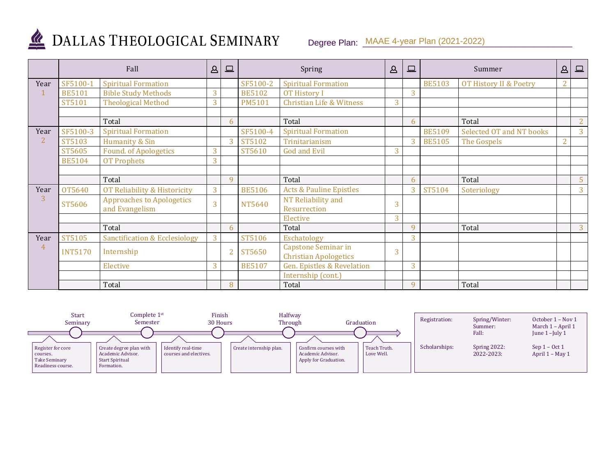

## DALLAS THEOLOGICAL SEMINARY

### Degree Plan: MAAE 4-year Plan (2021-2022)

|                | Fall           |                                                    | $\Delta$ | 旦              |               | Spring                                                     | $\mathbf{A}$ | $\Box$ |               | Summer                   | $\Delta$       | $\boxed{\square}$ |
|----------------|----------------|----------------------------------------------------|----------|----------------|---------------|------------------------------------------------------------|--------------|--------|---------------|--------------------------|----------------|-------------------|
| Year           | SF5100-1       | <b>Spiritual Formation</b>                         |          |                | SF5100-2      | <b>Spiritual Formation</b>                                 |              |        | <b>BE5103</b> | OT History II & Poetry   | $\overline{2}$ |                   |
|                | <b>BE5101</b>  | <b>Bible Study Methods</b>                         | 3        |                | <b>BE5102</b> | <b>OT History I</b>                                        |              | 3      |               |                          |                |                   |
|                | ST5101         | <b>Theological Method</b>                          | 3        |                | <b>PM5101</b> | <b>Christian Life &amp; Witness</b>                        | 3            |        |               |                          |                |                   |
|                |                |                                                    |          |                |               |                                                            |              |        |               |                          |                |                   |
|                |                | Total                                              |          | 6              |               | Total                                                      |              | 6      |               | Total                    |                | $\overline{2}$    |
| Year           | SF5100-3       | <b>Spiritual Formation</b>                         |          |                | SF5100-4      | <b>Spiritual Formation</b>                                 |              |        | <b>BE5109</b> | Selected OT and NT books |                | 3                 |
| $\overline{2}$ | ST5103         | Humanity & Sin                                     |          | 3              | ST5102        | Trinitarianism                                             |              | 3      | <b>BE5105</b> | The Gospels              | $\overline{2}$ |                   |
|                | ST5605         | <b>Found. of Apologetics</b>                       | 3        |                | ST5610        | <b>God and Evil</b>                                        | 3            |        |               |                          |                |                   |
|                | <b>BE5104</b>  | <b>OT Prophets</b>                                 | 3        |                |               |                                                            |              |        |               |                          |                |                   |
|                |                |                                                    |          |                |               |                                                            |              |        |               |                          |                |                   |
|                |                | Total                                              |          | $\mathbf{Q}$   |               | Total                                                      |              | 6      |               | Total                    |                | 5                 |
| Year           | OT5640         | OT Reliability & Historicity                       | 3        |                | <b>BE5106</b> | <b>Acts &amp; Pauline Epistles</b>                         |              | 3      | ST5104        | Soteriology              |                | 3                 |
| 3              | ST5606         | <b>Approaches to Apologetics</b><br>and Evangelism | 3        |                | NT5640        | NT Reliability and<br>Resurrection                         | 3            |        |               |                          |                |                   |
|                |                |                                                    |          |                |               | Elective                                                   | 3            |        |               |                          |                |                   |
|                |                | Total                                              |          | 6              |               | Total                                                      |              | 9      |               | Total                    |                | 3                 |
| Year           | ST5105         | <b>Sanctification &amp; Ecclesiology</b>           | 3        |                | ST5106        | Eschatology                                                |              | 3      |               |                          |                |                   |
| $\overline{4}$ | <b>INT5170</b> | Internship                                         |          | $\overline{2}$ | ST5650        | <b>Capstone Seminar in</b><br><b>Christian Apologetics</b> | 3            |        |               |                          |                |                   |
|                |                | Elective                                           | 3        |                | <b>BE5107</b> | <b>Gen. Epistles &amp; Revelation</b>                      |              | 3      |               |                          |                |                   |
|                |                |                                                    |          |                |               | Internship (cont.)                                         |              |        |               |                          |                |                   |
|                |                | Total                                              |          | 8              |               | Total                                                      |              | 9      |               | Total                    |                |                   |